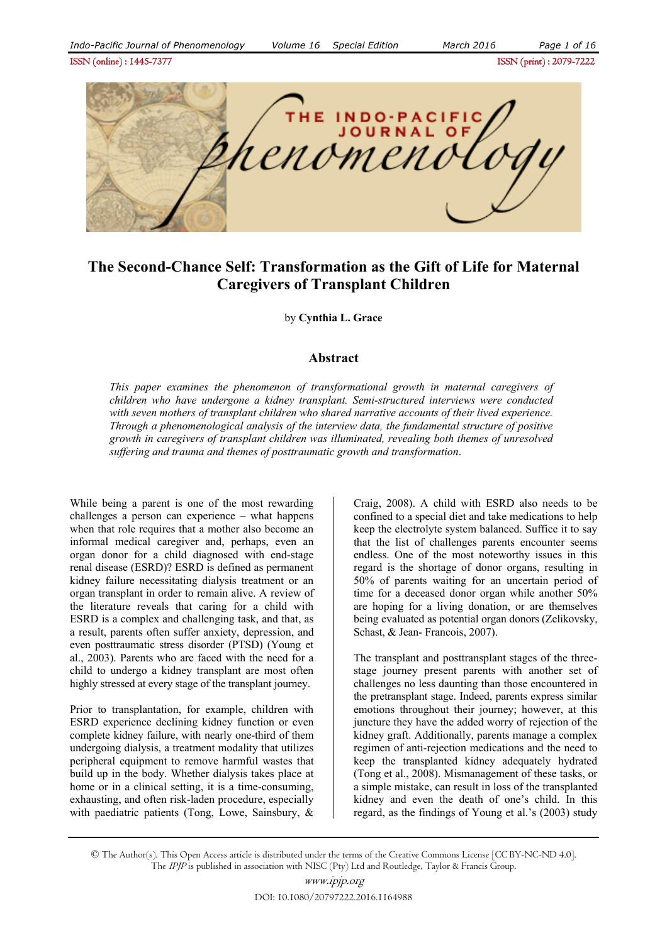ISSN (online) : 1445-7377ISSN (print) : 2079-7222



# **The Second-Chance Self: Transformation as the Gift of Life for Maternal Caregivers of Transplant Children**

by **Cynthia L. Grace**

### **Abstract**

*This paper examines the phenomenon of transformational growth in maternal caregivers of children who have undergone a kidney transplant. Semi-structured interviews were conducted with seven mothers of transplant children who shared narrative accounts of their lived experience. Through a phenomenological analysis of the interview data, the fundamental structure of positive growth in caregivers of transplant children was illuminated, revealing both themes of unresolved suffering and trauma and themes of posttraumatic growth and transformation*.

While being a parent is one of the most rewarding challenges a person can experience – what happens when that role requires that a mother also become an informal medical caregiver and, perhaps, even an organ donor for a child diagnosed with end-stage renal disease (ESRD)? ESRD is defined as permanent kidney failure necessitating dialysis treatment or an organ transplant in order to remain alive. A review of the literature reveals that caring for a child with ESRD is a complex and challenging task, and that, as a result, parents often suffer anxiety, depression, and even posttraumatic stress disorder (PTSD) (Young et al., 2003). Parents who are faced with the need for a child to undergo a kidney transplant are most often highly stressed at every stage of the transplant journey.

Prior to transplantation, for example, children with ESRD experience declining kidney function or even complete kidney failure, with nearly one-third of them undergoing dialysis, a treatment modality that utilizes peripheral equipment to remove harmful wastes that build up in the body. Whether dialysis takes place at home or in a clinical setting, it is a time-consuming, exhausting, and often risk-laden procedure, especially with paediatric patients (Tong, Lowe, Sainsbury, & Craig, 2008). A child with ESRD also needs to be confined to a special diet and take medications to help keep the electrolyte system balanced. Suffice it to say that the list of challenges parents encounter seems endless. One of the most noteworthy issues in this regard is the shortage of donor organs, resulting in 50% of parents waiting for an uncertain period of time for a deceased donor organ while another 50% are hoping for a living donation, or are themselves being evaluated as potential organ donors (Zelikovsky, Schast, & Jean-Francois, 2007).

The transplant and posttransplant stages of the threestage journey present parents with another set of challenges no less daunting than those encountered in the pretransplant stage. Indeed, parents express similar emotions throughout their journey; however, at this juncture they have the added worry of rejection of the kidney graft. Additionally, parents manage a complex regimen of anti-rejection medications and the need to keep the transplanted kidney adequately hydrated (Tong et al., 2008). Mismanagement of these tasks, or a simple mistake, can result in loss of the transplanted kidney and even the death of one's child. In this regard, as the findings of Young et al.'s (2003) study

© The Author(s). This Open Access article is distributed under the terms of the Creative Commons License [CC BY-NC-ND 4.0]. The IPJP is published in association with NISC (Pty) Ltd and Routledge, Taylor & Francis Group.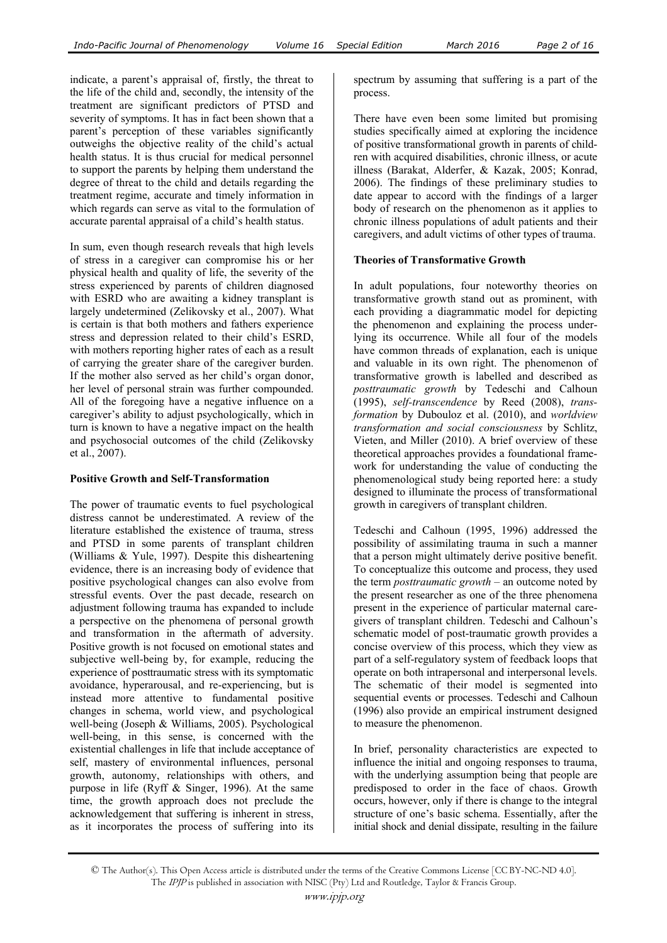indicate, a parent's appraisal of, firstly, the threat to the life of the child and, secondly, the intensity of the treatment are significant predictors of PTSD and severity of symptoms. It has in fact been shown that a parent's perception of these variables significantly outweighs the objective reality of the child's actual health status. It is thus crucial for medical personnel to support the parents by helping them understand the degree of threat to the child and details regarding the treatment regime, accurate and timely information in which regards can serve as vital to the formulation of accurate parental appraisal of a child's health status.

In sum, even though research reveals that high levels of stress in a caregiver can compromise his or her physical health and quality of life, the severity of the stress experienced by parents of children diagnosed with ESRD who are awaiting a kidney transplant is largely undetermined (Zelikovsky et al., 2007). What is certain is that both mothers and fathers experience stress and depression related to their child's ESRD, with mothers reporting higher rates of each as a result of carrying the greater share of the caregiver burden. If the mother also served as her child's organ donor, her level of personal strain was further compounded. All of the foregoing have a negative influence on a caregiver's ability to adjust psychologically, which in turn is known to have a negative impact on the health and psychosocial outcomes of the child (Zelikovsky et al., 2007).

### **Positive Growth and Self-Transformation**

The power of traumatic events to fuel psychological distress cannot be underestimated. A review of the literature established the existence of trauma, stress and PTSD in some parents of transplant children (Williams & Yule, 1997). Despite this disheartening evidence, there is an increasing body of evidence that positive psychological changes can also evolve from stressful events. Over the past decade, research on adjustment following trauma has expanded to include a perspective on the phenomena of personal growth and transformation in the aftermath of adversity. Positive growth is not focused on emotional states and subjective well-being by, for example, reducing the experience of posttraumatic stress with its symptomatic avoidance, hyperarousal, and re-experiencing, but is instead more attentive to fundamental positive changes in schema, world view, and psychological well-being (Joseph & Williams, 2005). Psychological well-being, in this sense, is concerned with the existential challenges in life that include acceptance of self, mastery of environmental influences, personal growth, autonomy, relationships with others, and purpose in life (Ryff & Singer, 1996). At the same time, the growth approach does not preclude the acknowledgement that suffering is inherent in stress, as it incorporates the process of suffering into its

spectrum by assuming that suffering is a part of the process.

There have even been some limited but promising studies specifically aimed at exploring the incidence of positive transformational growth in parents of children with acquired disabilities, chronic illness, or acute illness (Barakat, Alderfer, & Kazak, 2005; Konrad, 2006). The findings of these preliminary studies to date appear to accord with the findings of a larger body of research on the phenomenon as it applies to chronic illness populations of adult patients and their caregivers, and adult victims of other types of trauma.

### **Theories of Transformative Growth**

In adult populations, four noteworthy theories on transformative growth stand out as prominent, with each providing a diagrammatic model for depicting the phenomenon and explaining the process underlying its occurrence. While all four of the models have common threads of explanation, each is unique and valuable in its own right. The phenomenon of transformative growth is labelled and described as *posttraumatic growth* by Tedeschi and Calhoun (1995), *self-transcendence* by Reed (2008), *transformation* by Dubouloz et al. (2010), and *worldview transformation and social consciousness* by Schlitz, Vieten, and Miller (2010). A brief overview of these theoretical approaches provides a foundational framework for understanding the value of conducting the phenomenological study being reported here: a study designed to illuminate the process of transformational growth in caregivers of transplant children.

Tedeschi and Calhoun (1995, 1996) addressed the possibility of assimilating trauma in such a manner that a person might ultimately derive positive benefit. To conceptualize this outcome and process, they used the term *posttraumatic growth* – an outcome noted by the present researcher as one of the three phenomena present in the experience of particular maternal caregivers of transplant children. Tedeschi and Calhoun's schematic model of post-traumatic growth provides a concise overview of this process, which they view as part of a self-regulatory system of feedback loops that operate on both intrapersonal and interpersonal levels. The schematic of their model is segmented into sequential events or processes. Tedeschi and Calhoun (1996) also provide an empirical instrument designed to measure the phenomenon.

In brief, personality characteristics are expected to influence the initial and ongoing responses to trauma, with the underlying assumption being that people are predisposed to order in the face of chaos. Growth occurs, however, only if there is change to the integral structure of one's basic schema. Essentially, after the initial shock and denial dissipate, resulting in the failure

<sup>©</sup> The Author(s). This Open Access article is distributed under the terms of the Creative Commons License [CC BY-NC-ND 4.0]. The IPJP is published in association with NISC (Pty) Ltd and Routledge, Taylor & Francis Group.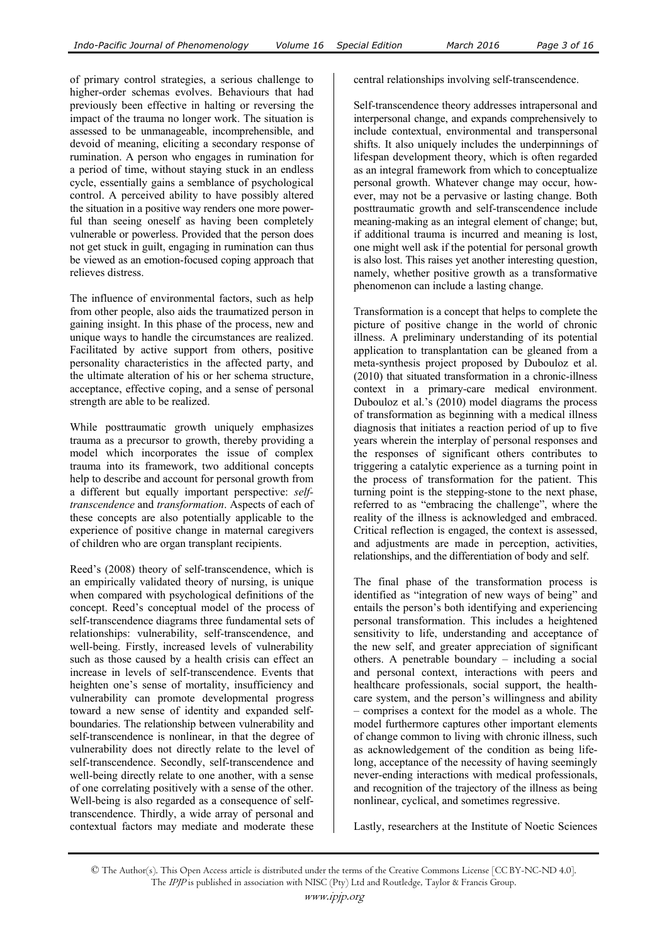of primary control strategies, a serious challenge to higher-order schemas evolves. Behaviours that had previously been effective in halting or reversing the impact of the trauma no longer work. The situation is assessed to be unmanageable, incomprehensible, and devoid of meaning, eliciting a secondary response of rumination. A person who engages in rumination for a period of time, without staying stuck in an endless cycle, essentially gains a semblance of psychological control. A perceived ability to have possibly altered the situation in a positive way renders one more powerful than seeing oneself as having been completely vulnerable or powerless. Provided that the person does not get stuck in guilt, engaging in rumination can thus be viewed as an emotion-focused coping approach that relieves distress.

The influence of environmental factors, such as help from other people, also aids the traumatized person in gaining insight. In this phase of the process, new and unique ways to handle the circumstances are realized. Facilitated by active support from others, positive personality characteristics in the affected party, and the ultimate alteration of his or her schema structure, acceptance, effective coping, and a sense of personal strength are able to be realized.

While posttraumatic growth uniquely emphasizes trauma as a precursor to growth, thereby providing a model which incorporates the issue of complex trauma into its framework, two additional concepts help to describe and account for personal growth from a different but equally important perspective: *selftranscendence* and *transformation*. Aspects of each of these concepts are also potentially applicable to the experience of positive change in maternal caregivers of children who are organ transplant recipients.

Reed's (2008) theory of self-transcendence, which is an empirically validated theory of nursing, is unique when compared with psychological definitions of the concept. Reed's conceptual model of the process of self-transcendence diagrams three fundamental sets of relationships: vulnerability, self-transcendence, and well-being. Firstly, increased levels of vulnerability such as those caused by a health crisis can effect an increase in levels of self-transcendence. Events that heighten one's sense of mortality, insufficiency and vulnerability can promote developmental progress toward a new sense of identity and expanded selfboundaries. The relationship between vulnerability and self-transcendence is nonlinear, in that the degree of vulnerability does not directly relate to the level of self-transcendence. Secondly, self-transcendence and well-being directly relate to one another, with a sense of one correlating positively with a sense of the other. Well-being is also regarded as a consequence of selftranscendence. Thirdly, a wide array of personal and contextual factors may mediate and moderate these

central relationships involving self-transcendence.

Self-transcendence theory addresses intrapersonal and interpersonal change, and expands comprehensively to include contextual, environmental and transpersonal shifts. It also uniquely includes the underpinnings of lifespan development theory, which is often regarded as an integral framework from which to conceptualize personal growth. Whatever change may occur, however, may not be a pervasive or lasting change. Both posttraumatic growth and self-transcendence include meaning-making as an integral element of change; but, if additional trauma is incurred and meaning is lost, one might well ask if the potential for personal growth is also lost. This raises yet another interesting question, namely, whether positive growth as a transformative phenomenon can include a lasting change.

Transformation is a concept that helps to complete the picture of positive change in the world of chronic illness. A preliminary understanding of its potential application to transplantation can be gleaned from a meta-synthesis project proposed by Dubouloz et al. (2010) that situated transformation in a chronic-illness context in a primary-care medical environment. Dubouloz et al.'s (2010) model diagrams the process of transformation as beginning with a medical illness diagnosis that initiates a reaction period of up to five years wherein the interplay of personal responses and the responses of significant others contributes to triggering a catalytic experience as a turning point in the process of transformation for the patient. This turning point is the stepping-stone to the next phase, referred to as "embracing the challenge", where the reality of the illness is acknowledged and embraced. Critical reflection is engaged, the context is assessed, and adjustments are made in perception, activities, relationships, and the differentiation of body and self.

The final phase of the transformation process is identified as "integration of new ways of being" and entails the person's both identifying and experiencing personal transformation. This includes a heightened sensitivity to life, understanding and acceptance of the new self, and greater appreciation of significant others. A penetrable boundary – including a social and personal context, interactions with peers and healthcare professionals, social support, the healthcare system, and the person's willingness and ability – comprises a context for the model as a whole. The model furthermore captures other important elements of change common to living with chronic illness, such as acknowledgement of the condition as being lifelong, acceptance of the necessity of having seemingly never-ending interactions with medical professionals, and recognition of the trajectory of the illness as being nonlinear, cyclical, and sometimes regressive.

Lastly, researchers at the Institute of Noetic Sciences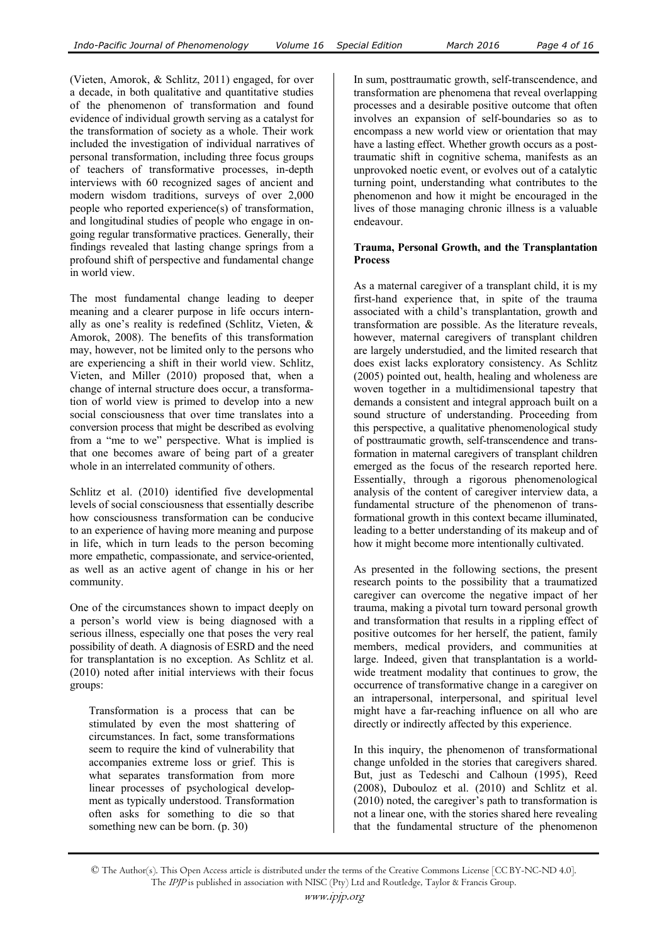(Vieten, Amorok, & Schlitz, 2011) engaged, for over a decade, in both qualitative and quantitative studies of the phenomenon of transformation and found evidence of individual growth serving as a catalyst for the transformation of society as a whole. Their work included the investigation of individual narratives of personal transformation, including three focus groups of teachers of transformative processes, in-depth interviews with 60 recognized sages of ancient and modern wisdom traditions, surveys of over 2,000 people who reported experience(s) of transformation, and longitudinal studies of people who engage in ongoing regular transformative practices. Generally, their findings revealed that lasting change springs from a profound shift of perspective and fundamental change in world view.

The most fundamental change leading to deeper meaning and a clearer purpose in life occurs internally as one's reality is redefined (Schlitz, Vieten, & Amorok, 2008). The benefits of this transformation may, however, not be limited only to the persons who are experiencing a shift in their world view. Schlitz, Vieten, and Miller (2010) proposed that, when a change of internal structure does occur, a transformation of world view is primed to develop into a new social consciousness that over time translates into a conversion process that might be described as evolving from a "me to we" perspective. What is implied is that one becomes aware of being part of a greater whole in an interrelated community of others.

Schlitz et al. (2010) identified five developmental levels of social consciousness that essentially describe how consciousness transformation can be conducive to an experience of having more meaning and purpose in life, which in turn leads to the person becoming more empathetic, compassionate, and service-oriented, as well as an active agent of change in his or her community.

One of the circumstances shown to impact deeply on a person's world view is being diagnosed with a serious illness, especially one that poses the very real possibility of death. A diagnosis of ESRD and the need for transplantation is no exception. As Schlitz et al. (2010) noted after initial interviews with their focus groups:

Transformation is a process that can be stimulated by even the most shattering of circumstances. In fact, some transformations seem to require the kind of vulnerability that accompanies extreme loss or grief. This is what separates transformation from more linear processes of psychological development as typically understood. Transformation often asks for something to die so that something new can be born. (p. 30)

In sum, posttraumatic growth, self-transcendence, and transformation are phenomena that reveal overlapping processes and a desirable positive outcome that often involves an expansion of self-boundaries so as to encompass a new world view or orientation that may have a lasting effect. Whether growth occurs as a posttraumatic shift in cognitive schema, manifests as an unprovoked noetic event, or evolves out of a catalytic turning point, understanding what contributes to the phenomenon and how it might be encouraged in the lives of those managing chronic illness is a valuable endeavour.

### **Trauma, Personal Growth, and the Transplantation Process**

As a maternal caregiver of a transplant child, it is my first-hand experience that, in spite of the trauma associated with a child's transplantation, growth and transformation are possible. As the literature reveals, however, maternal caregivers of transplant children are largely understudied, and the limited research that does exist lacks exploratory consistency. As Schlitz (2005) pointed out, health, healing and wholeness are woven together in a multidimensional tapestry that demands a consistent and integral approach built on a sound structure of understanding. Proceeding from this perspective, a qualitative phenomenological study of posttraumatic growth, self-transcendence and transformation in maternal caregivers of transplant children emerged as the focus of the research reported here. Essentially, through a rigorous phenomenological analysis of the content of caregiver interview data, a fundamental structure of the phenomenon of transformational growth in this context became illuminated, leading to a better understanding of its makeup and of how it might become more intentionally cultivated.

As presented in the following sections, the present research points to the possibility that a traumatized caregiver can overcome the negative impact of her trauma, making a pivotal turn toward personal growth and transformation that results in a rippling effect of positive outcomes for her herself, the patient, family members, medical providers, and communities at large. Indeed, given that transplantation is a worldwide treatment modality that continues to grow, the occurrence of transformative change in a caregiver on an intrapersonal, interpersonal, and spiritual level might have a far-reaching influence on all who are directly or indirectly affected by this experience.

In this inquiry, the phenomenon of transformational change unfolded in the stories that caregivers shared. But, just as Tedeschi and Calhoun (1995), Reed (2008), Dubouloz et al. (2010) and Schlitz et al. (2010) noted, the caregiver's path to transformation is not a linear one, with the stories shared here revealing that the fundamental structure of the phenomenon

<sup>©</sup> The Author(s). This Open Access article is distributed under the terms of the Creative Commons License [CC BY-NC-ND 4.0]. The IPJP is published in association with NISC (Pty) Ltd and Routledge, Taylor & Francis Group.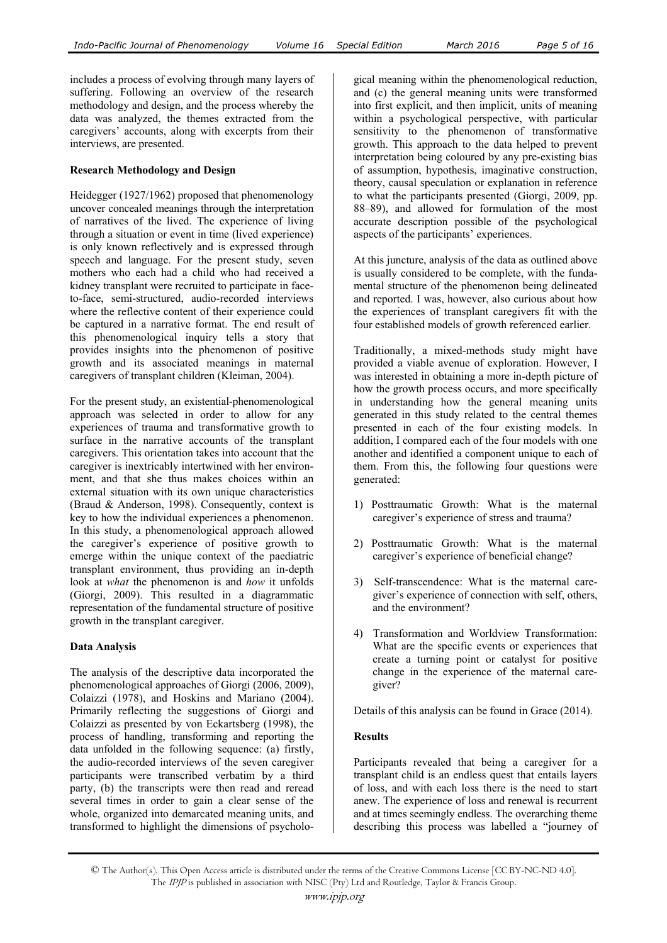includes a process of evolving through many layers of suffering. Following an overview of the research methodology and design, and the process whereby the data was analyzed, the themes extracted from the caregivers' accounts, along with excerpts from their interviews, are presented.

## **Research Methodology and Design**

Heidegger (1927/1962) proposed that phenomenology uncover concealed meanings through the interpretation of narratives of the lived. The experience of living through a situation or event in time (lived experience) is only known reflectively and is expressed through speech and language. For the present study, seven mothers who each had a child who had received a kidney transplant were recruited to participate in faceto-face, semi-structured, audio-recorded interviews where the reflective content of their experience could be captured in a narrative format. The end result of this phenomenological inquiry tells a story that provides insights into the phenomenon of positive growth and its associated meanings in maternal caregivers of transplant children (Kleiman, 2004).

For the present study, an existential-phenomenological approach was selected in order to allow for any experiences of trauma and transformative growth to surface in the narrative accounts of the transplant caregivers. This orientation takes into account that the caregiver is inextricably intertwined with her environment, and that she thus makes choices within an external situation with its own unique characteristics (Braud & Anderson, 1998). Consequently, context is key to how the individual experiences a phenomenon. In this study, a phenomenological approach allowed the caregiver's experience of positive growth to emerge within the unique context of the paediatric transplant environment, thus providing an in-depth look at *what* the phenomenon is and *how* it unfolds (Giorgi, 2009). This resulted in a diagrammatic representation of the fundamental structure of positive growth in the transplant caregiver.

### **Data Analysis**

The analysis of the descriptive data incorporated the phenomenological approaches of Giorgi (2006, 2009), Colaizzi (1978), and Hoskins and Mariano (2004). Primarily reflecting the suggestions of Giorgi and Colaizzi as presented by von Eckartsberg (1998), the process of handling, transforming and reporting the data unfolded in the following sequence: (a) firstly, the audio-recorded interviews of the seven caregiver participants were transcribed verbatim by a third party, (b) the transcripts were then read and reread several times in order to gain a clear sense of the whole, organized into demarcated meaning units, and transformed to highlight the dimensions of psychological meaning within the phenomenological reduction, and (c) the general meaning units were transformed into first explicit, and then implicit, units of meaning within a psychological perspective, with particular sensitivity to the phenomenon of transformative growth. This approach to the data helped to prevent interpretation being coloured by any pre-existing bias of assumption, hypothesis, imaginative construction, theory, causal speculation or explanation in reference to what the participants presented (Giorgi, 2009, pp. 88–89), and allowed for formulation of the most accurate description possible of the psychological aspects of the participants' experiences.

At this juncture, analysis of the data as outlined above is usually considered to be complete, with the fundamental structure of the phenomenon being delineated and reported. I was, however, also curious about how the experiences of transplant caregivers fit with the four established models of growth referenced earlier.

Traditionally, a mixed-methods study might have provided a viable avenue of exploration. However, I was interested in obtaining a more in-depth picture of how the growth process occurs, and more specifically in understanding how the general meaning units generated in this study related to the central themes presented in each of the four existing models. In addition, I compared each of the four models with one another and identified a component unique to each of them. From this, the following four questions were generated:

- 1) Posttraumatic Growth: What is the maternal caregiver's experience of stress and trauma?
- 2) Posttraumatic Growth: What is the maternal caregiver's experience of beneficial change?
- 3) Self-transcendence: What is the maternal caregiver's experience of connection with self, others, and the environment?
- 4) Transformation and Worldview Transformation: What are the specific events or experiences that create a turning point or catalyst for positive change in the experience of the maternal caregiver?

Details of this analysis can be found in Grace (2014).

### **Results**

Participants revealed that being a caregiver for a transplant child is an endless quest that entails layers of loss, and with each loss there is the need to start anew. The experience of loss and renewal is recurrent and at times seemingly endless. The overarching theme describing this process was labelled a "journey of

<sup>©</sup> The Author(s). This Open Access article is distributed under the terms of the Creative Commons License [CC BY-NC-ND 4.0]. The IPJP is published in association with NISC (Pty) Ltd and Routledge, Taylor & Francis Group.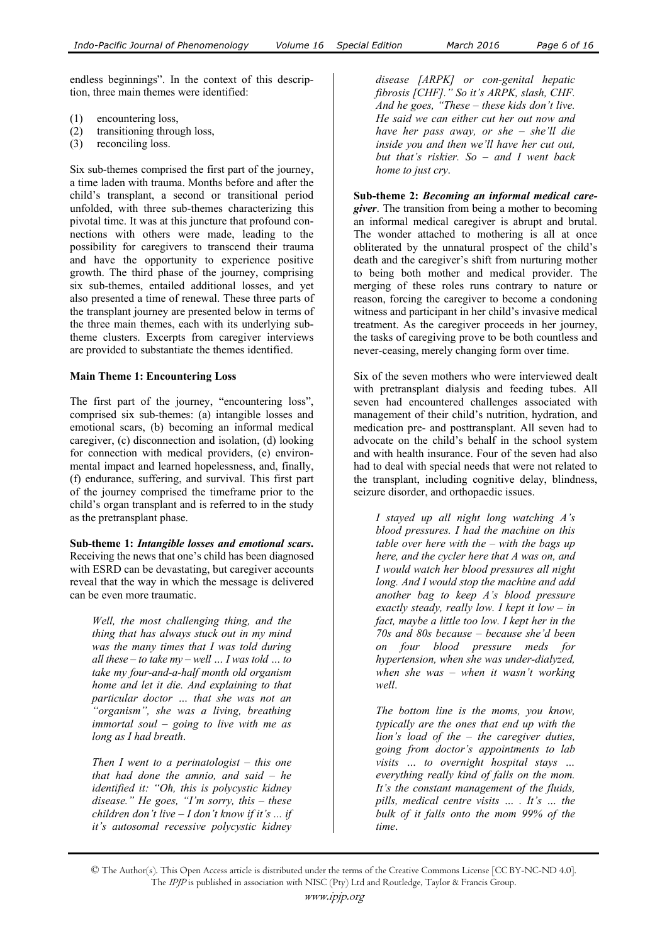endless beginnings". In the context of this description, three main themes were identified:

- (1) encountering loss,
- (2) transitioning through loss,
- (3) reconciling loss.

Six sub-themes comprised the first part of the journey, a time laden with trauma. Months before and after the child's transplant, a second or transitional period unfolded, with three sub-themes characterizing this pivotal time. It was at this juncture that profound connections with others were made, leading to the possibility for caregivers to transcend their trauma and have the opportunity to experience positive growth. The third phase of the journey, comprising six sub-themes, entailed additional losses, and yet also presented a time of renewal. These three parts of the transplant journey are presented below in terms of the three main themes, each with its underlying subtheme clusters. Excerpts from caregiver interviews are provided to substantiate the themes identified.

### **Main Theme 1: Encountering Loss**

The first part of the journey, "encountering loss", comprised six sub-themes: (a) intangible losses and emotional scars, (b) becoming an informal medical caregiver, (c) disconnection and isolation, (d) looking for connection with medical providers, (e) environmental impact and learned hopelessness, and, finally, (f) endurance, suffering, and survival. This first part of the journey comprised the timeframe prior to the child's organ transplant and is referred to in the study as the pretransplant phase.

**Sub-theme 1:** *Intangible losses and emotional scars***.**  Receiving the news that one's child has been diagnosed with ESRD can be devastating, but caregiver accounts reveal that the way in which the message is delivered can be even more traumatic.

*Well, the most challenging thing, and the thing that has always stuck out in my mind was the many times that I was told during all these – to take my – well … I was told … to take my four-and-a-half month old organism home and let it die. And explaining to that particular doctor … that she was not an "organism", she was a living, breathing immortal soul – going to live with me as long as I had breath*.

*Then I went to a perinatologist – this one that had done the amnio, and said – he identified it: "Oh, this is polycystic kidney disease." He goes, "I'm sorry, this – these children don't live – I don't know if it's ... if it's autosomal recessive polycystic kidney* 

*disease [ARPK] or con-genital hepatic fibrosis [CHF]." So it's ARPK, slash, CHF. And he goes, "These – these kids don't live. He said we can either cut her out now and have her pass away, or she – she'll die inside you and then we'll have her cut out, but that's riskier. So – and I went back home to just cry*.

**Sub-theme 2:** *Becoming an informal medical caregiver*. The transition from being a mother to becoming an informal medical caregiver is abrupt and brutal. The wonder attached to mothering is all at once obliterated by the unnatural prospect of the child's death and the caregiver's shift from nurturing mother to being both mother and medical provider. The merging of these roles runs contrary to nature or reason, forcing the caregiver to become a condoning witness and participant in her child's invasive medical treatment. As the caregiver proceeds in her journey, the tasks of caregiving prove to be both countless and never-ceasing, merely changing form over time.

Six of the seven mothers who were interviewed dealt with pretransplant dialysis and feeding tubes. All seven had encountered challenges associated with management of their child's nutrition, hydration, and medication pre- and posttransplant. All seven had to advocate on the child's behalf in the school system and with health insurance. Four of the seven had also had to deal with special needs that were not related to the transplant, including cognitive delay, blindness, seizure disorder, and orthopaedic issues.

*I stayed up all night long watching A's blood pressures. I had the machine on this table over here with the – with the bags up here, and the cycler here that A was on, and I would watch her blood pressures all night long. And I would stop the machine and add another bag to keep A's blood pressure exactly steady, really low. I kept it low – in fact, maybe a little too low. I kept her in the 70s and 80s because – because she'd been on four blood pressure meds for hypertension, when she was under-dialyzed, when she was – when it wasn't working well*.

*The bottom line is the moms, you know, typically are the ones that end up with the lion's load of the – the caregiver duties, going from doctor's appointments to lab visits … to overnight hospital stays … everything really kind of falls on the mom. It's the constant management of the fluids, pills, medical centre visits … . It's … the bulk of it falls onto the mom 99% of the time*.

<sup>©</sup> The Author(s). This Open Access article is distributed under the terms of the Creative Commons License [CC BY-NC-ND 4.0]. The IPJP is published in association with NISC (Pty) Ltd and Routledge, Taylor & Francis Group.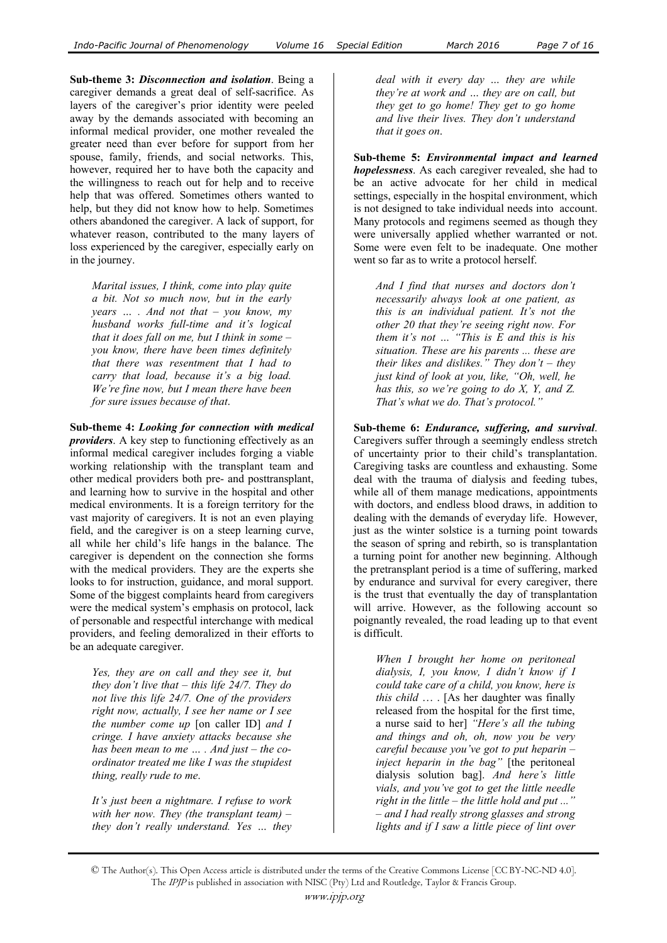**Sub-theme 3:** *Disconnection and isolation*. Being a caregiver demands a great deal of self-sacrifice. As layers of the caregiver's prior identity were peeled away by the demands associated with becoming an informal medical provider, one mother revealed the greater need than ever before for support from her spouse, family, friends, and social networks. This, however, required her to have both the capacity and the willingness to reach out for help and to receive help that was offered. Sometimes others wanted to help, but they did not know how to help. Sometimes others abandoned the caregiver. A lack of support, for whatever reason, contributed to the many layers of loss experienced by the caregiver, especially early on in the journey.

*Marital issues, I think, come into play quite a bit. Not so much now, but in the early years … . And not that – you know, my husband works full-time and it's logical that it does fall on me, but I think in some – you know, there have been times definitely that there was resentment that I had to carry that load, because it's a big load. We're fine now, but I mean there have been for sure issues because of that*.

**Sub-theme 4:** *Looking for connection with medical providers*. A key step to functioning effectively as an informal medical caregiver includes forging a viable working relationship with the transplant team and other medical providers both pre- and posttransplant, and learning how to survive in the hospital and other medical environments. It is a foreign territory for the vast majority of caregivers. It is not an even playing field, and the caregiver is on a steep learning curve, all while her child's life hangs in the balance. The caregiver is dependent on the connection she forms with the medical providers. They are the experts she looks to for instruction, guidance, and moral support. Some of the biggest complaints heard from caregivers were the medical system's emphasis on protocol, lack of personable and respectful interchange with medical providers, and feeling demoralized in their efforts to be an adequate caregiver.

*Yes, they are on call and they see it, but they don't live that – this life 24/7. They do not live this life 24/7. One of the providers right now, actually, I see her name or I see the number come up* [on caller ID] *and I cringe. I have anxiety attacks because she has been mean to me … . And just – the coordinator treated me like I was the stupidest thing, really rude to me*.

*It's just been a nightmare. I refuse to work with her now. They (the transplant team) – they don't really understand. Yes … they*  *deal with it every day … they are while they're at work and … they are on call, but they get to go home! They get to go home and live their lives. They don't understand that it goes on*.

**Sub-theme 5:** *Environmental impact and learned hopelessness*. As each caregiver revealed, she had to be an active advocate for her child in medical settings, especially in the hospital environment, which is not designed to take individual needs into account. Many protocols and regimens seemed as though they were universally applied whether warranted or not. Some were even felt to be inadequate. One mother went so far as to write a protocol herself.

*And I find that nurses and doctors don't necessarily always look at one patient, as this is an individual patient. It's not the other 20 that they're seeing right now. For them it's not … "This is E and this is his situation. These are his parents ... these are their likes and dislikes." They don't – they just kind of look at you, like, "Oh, well, he has this, so we're going to do X, Y, and Z. That's what we do. That's protocol."*

**Sub-theme 6:** *Endurance, suffering, and survival*. Caregivers suffer through a seemingly endless stretch of uncertainty prior to their child's transplantation. Caregiving tasks are countless and exhausting. Some deal with the trauma of dialysis and feeding tubes, while all of them manage medications, appointments with doctors, and endless blood draws, in addition to dealing with the demands of everyday life. However, just as the winter solstice is a turning point towards the season of spring and rebirth, so is transplantation a turning point for another new beginning. Although the pretransplant period is a time of suffering, marked by endurance and survival for every caregiver, there is the trust that eventually the day of transplantation will arrive. However, as the following account so poignantly revealed, the road leading up to that event is difficult.

*When I brought her home on peritoneal dialysis, I, you know, I didn't know if I could take care of a child, you know, here is this child* … . [As her daughter was finally released from the hospital for the first time, a nurse said to her] *"Here's all the tubing and things and oh, oh, now you be very careful because you've got to put heparin – inject heparin in the bag"* [the peritoneal dialysis solution bag]. *And here's little vials, and you've got to get the little needle right in the little – the little hold and put ..." – and I had really strong glasses and strong lights and if I saw a little piece of lint over* 

<sup>©</sup> The Author(s). This Open Access article is distributed under the terms of the Creative Commons License [CC BY-NC-ND 4.0]. The IPJP is published in association with NISC (Pty) Ltd and Routledge, Taylor & Francis Group.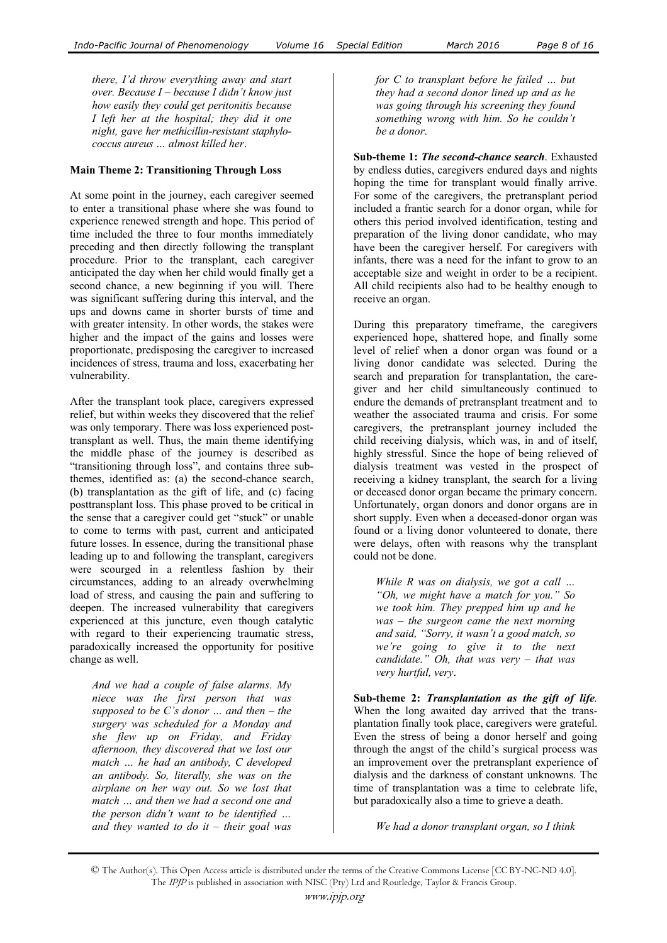*there, I'd throw everything away and start over. Because I – because I didn't know just how easily they could get peritonitis because I left her at the hospital; they did it one night, gave her methicillin-resistant staphylococcus aureus … almost killed her*.

## **Main Theme 2: Transitioning Through Loss**

At some point in the journey, each caregiver seemed to enter a transitional phase where she was found to experience renewed strength and hope. This period of time included the three to four months immediately preceding and then directly following the transplant procedure. Prior to the transplant, each caregiver anticipated the day when her child would finally get a second chance, a new beginning if you will. There was significant suffering during this interval, and the ups and downs came in shorter bursts of time and with greater intensity. In other words, the stakes were higher and the impact of the gains and losses were proportionate, predisposing the caregiver to increased incidences of stress, trauma and loss, exacerbating her vulnerability.

After the transplant took place, caregivers expressed relief, but within weeks they discovered that the relief was only temporary. There was loss experienced posttransplant as well. Thus, the main theme identifying the middle phase of the journey is described as "transitioning through loss", and contains three subthemes, identified as: (a) the second-chance search, (b) transplantation as the gift of life, and (c) facing posttransplant loss. This phase proved to be critical in the sense that a caregiver could get "stuck" or unable to come to terms with past, current and anticipated future losses. In essence, during the transitional phase leading up to and following the transplant, caregivers were scourged in a relentless fashion by their circumstances, adding to an already overwhelming load of stress, and causing the pain and suffering to deepen. The increased vulnerability that caregivers experienced at this juncture, even though catalytic with regard to their experiencing traumatic stress, paradoxically increased the opportunity for positive change as well.

*And we had a couple of false alarms. My niece was the first person that was supposed to be C's donor … and then – the surgery was scheduled for a Monday and she flew up on Friday, and Friday afternoon, they discovered that we lost our match … he had an antibody, C developed an antibody. So, literally, she was on the airplane on her way out. So we lost that match … and then we had a second one and the person didn't want to be identified … and they wanted to do it – their goal was* 

*for C to transplant before he failed … but they had a second donor lined up and as he was going through his screening they found something wrong with him. So he couldn't be a donor*.

**Sub-theme 1:** *The second-chance search*. Exhausted by endless duties, caregivers endured days and nights hoping the time for transplant would finally arrive. For some of the caregivers, the pretransplant period included a frantic search for a donor organ, while for others this period involved identification, testing and preparation of the living donor candidate, who may have been the caregiver herself. For caregivers with infants, there was a need for the infant to grow to an acceptable size and weight in order to be a recipient. All child recipients also had to be healthy enough to receive an organ.

During this preparatory timeframe, the caregivers experienced hope, shattered hope, and finally some level of relief when a donor organ was found or a living donor candidate was selected. During the search and preparation for transplantation, the caregiver and her child simultaneously continued to endure the demands of pretransplant treatment and to weather the associated trauma and crisis. For some caregivers, the pretransplant journey included the child receiving dialysis, which was, in and of itself, highly stressful. Since the hope of being relieved of dialysis treatment was vested in the prospect of receiving a kidney transplant, the search for a living or deceased donor organ became the primary concern. Unfortunately, organ donors and donor organs are in short supply. Even when a deceased-donor organ was found or a living donor volunteered to donate, there were delays, often with reasons why the transplant could not be done.

*While R was on dialysis, we got a call … "Oh, we might have a match for you." So we took him. They prepped him up and he was – the surgeon came the next morning and said, "Sorry, it wasn't a good match, so we're going to give it to the next candidate." Oh, that was very – that was very hurtful, very*.

**Sub-theme 2:** *Transplantation as the gift of life.*  When the long awaited day arrived that the transplantation finally took place, caregivers were grateful. Even the stress of being a donor herself and going through the angst of the child's surgical process was an improvement over the pretransplant experience of dialysis and the darkness of constant unknowns. The time of transplantation was a time to celebrate life, but paradoxically also a time to grieve a death.

*We had a donor transplant organ, so I think* 

<sup>©</sup> The Author(s). This Open Access article is distributed under the terms of the Creative Commons License [CC BY-NC-ND 4.0]. The IPJP is published in association with NISC (Pty) Ltd and Routledge, Taylor & Francis Group.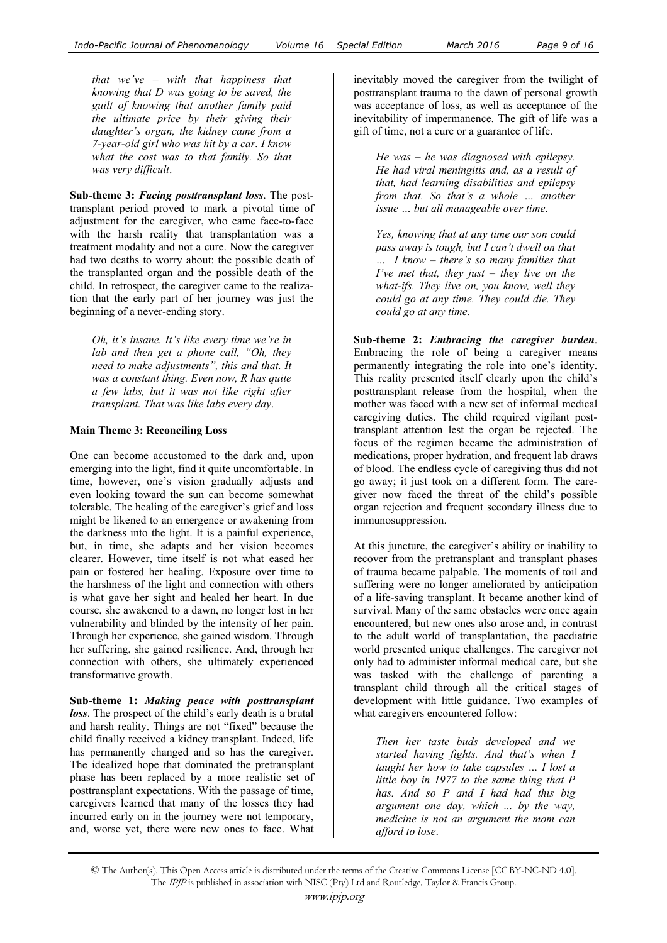*that we've – with that happiness that knowing that D was going to be saved, the guilt of knowing that another family paid the ultimate price by their giving their daughter's organ, the kidney came from a 7-year-old girl who was hit by a car. I know what the cost was to that family. So that was very difficult*.

**Sub-theme 3:** *Facing posttransplant loss*. The posttransplant period proved to mark a pivotal time of adjustment for the caregiver, who came face-to-face with the harsh reality that transplantation was a treatment modality and not a cure. Now the caregiver had two deaths to worry about: the possible death of the transplanted organ and the possible death of the child. In retrospect, the caregiver came to the realization that the early part of her journey was just the beginning of a never-ending story.

*Oh, it's insane. It's like every time we're in lab and then get a phone call, "Oh, they need to make adjustments", this and that. It was a constant thing. Even now, R has quite a few labs, but it was not like right after transplant. That was like labs every day*.

#### **Main Theme 3: Reconciling Loss**

One can become accustomed to the dark and, upon emerging into the light, find it quite uncomfortable. In time, however, one's vision gradually adjusts and even looking toward the sun can become somewhat tolerable. The healing of the caregiver's grief and loss might be likened to an emergence or awakening from the darkness into the light. It is a painful experience, but, in time, she adapts and her vision becomes clearer. However, time itself is not what eased her pain or fostered her healing. Exposure over time to the harshness of the light and connection with others is what gave her sight and healed her heart. In due course, she awakened to a dawn, no longer lost in her vulnerability and blinded by the intensity of her pain. Through her experience, she gained wisdom. Through her suffering, she gained resilience. And, through her connection with others, she ultimately experienced transformative growth.

**Sub-theme 1:** *Making peace with posttransplant loss*. The prospect of the child's early death is a brutal and harsh reality. Things are not "fixed" because the child finally received a kidney transplant. Indeed, life has permanently changed and so has the caregiver. The idealized hope that dominated the pretransplant phase has been replaced by a more realistic set of posttransplant expectations. With the passage of time, caregivers learned that many of the losses they had incurred early on in the journey were not temporary, and, worse yet, there were new ones to face. What

inevitably moved the caregiver from the twilight of posttransplant trauma to the dawn of personal growth was acceptance of loss, as well as acceptance of the inevitability of impermanence. The gift of life was a gift of time, not a cure or a guarantee of life.

*He was – he was diagnosed with epilepsy. He had viral meningitis and, as a result of that, had learning disabilities and epilepsy from that. So that's a whole … another issue … but all manageable over time*.

*Yes, knowing that at any time our son could pass away is tough, but I can't dwell on that … I know – there's so many families that I've met that, they just – they live on the what-ifs. They live on, you know, well they could go at any time. They could die. They could go at any time*.

**Sub-theme 2:** *Embracing the caregiver burden*. Embracing the role of being a caregiver means permanently integrating the role into one's identity. This reality presented itself clearly upon the child's posttransplant release from the hospital, when the mother was faced with a new set of informal medical caregiving duties. The child required vigilant posttransplant attention lest the organ be rejected. The focus of the regimen became the administration of medications, proper hydration, and frequent lab draws of blood. The endless cycle of caregiving thus did not go away; it just took on a different form. The caregiver now faced the threat of the child's possible organ rejection and frequent secondary illness due to immunosuppression.

At this juncture, the caregiver's ability or inability to recover from the pretransplant and transplant phases of trauma became palpable. The moments of toil and suffering were no longer ameliorated by anticipation of a life-saving transplant. It became another kind of survival. Many of the same obstacles were once again encountered, but new ones also arose and, in contrast to the adult world of transplantation, the paediatric world presented unique challenges. The caregiver not only had to administer informal medical care, but she was tasked with the challenge of parenting a transplant child through all the critical stages of development with little guidance. Two examples of what caregivers encountered follow:

*Then her taste buds developed and we started having fights. And that's when I taught her how to take capsules … I lost a little boy in 1977 to the same thing that P has. And so P and I had had this big argument one day, which ... by the way, medicine is not an argument the mom can afford to lose*.

<sup>©</sup> The Author(s). This Open Access article is distributed under the terms of the Creative Commons License [CC BY-NC-ND 4.0]. The IPJP is published in association with NISC (Pty) Ltd and Routledge, Taylor & Francis Group.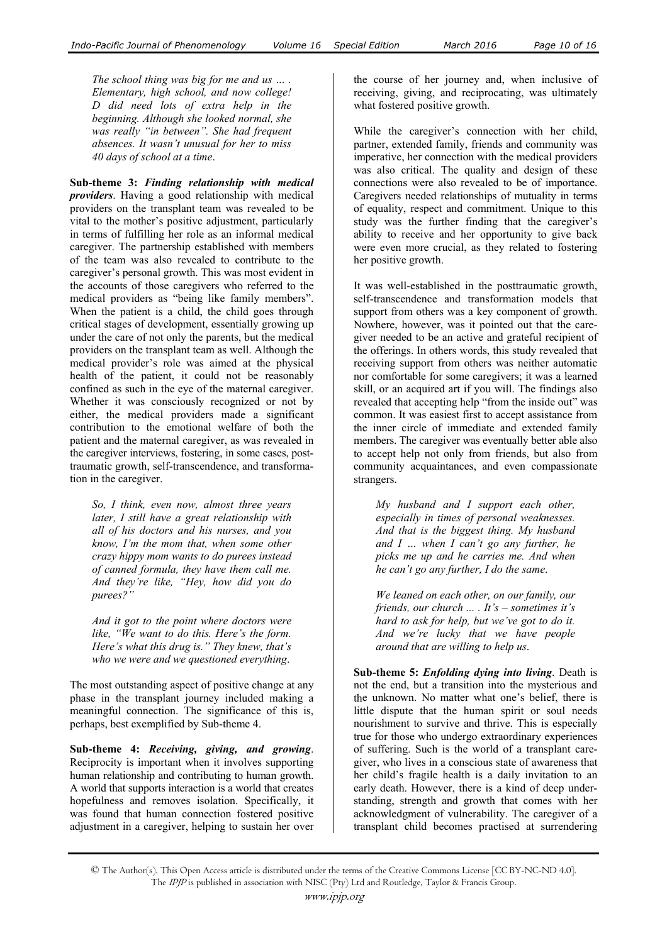*The school thing was big for me and us … . Elementary, high school, and now college! D did need lots of extra help in the beginning. Although she looked normal, she was really "in between". She had frequent absences. It wasn't unusual for her to miss 40 days of school at a time*.

**Sub-theme 3:** *Finding relationship with medical providers*. Having a good relationship with medical providers on the transplant team was revealed to be vital to the mother's positive adjustment, particularly in terms of fulfilling her role as an informal medical caregiver. The partnership established with members of the team was also revealed to contribute to the caregiver's personal growth. This was most evident in the accounts of those caregivers who referred to the medical providers as "being like family members". When the patient is a child, the child goes through critical stages of development, essentially growing up under the care of not only the parents, but the medical providers on the transplant team as well. Although the medical provider's role was aimed at the physical health of the patient, it could not be reasonably confined as such in the eye of the maternal caregiver. Whether it was consciously recognized or not by either, the medical providers made a significant contribution to the emotional welfare of both the patient and the maternal caregiver, as was revealed in the caregiver interviews, fostering, in some cases, posttraumatic growth, self-transcendence, and transformation in the caregiver.

*So, I think, even now, almost three years later, I still have a great relationship with all of his doctors and his nurses, and you know, I'm the mom that, when some other crazy hippy mom wants to do purees instead of canned formula, they have them call me. And they're like, "Hey, how did you do purees?"*

*And it got to the point where doctors were like, "We want to do this. Here's the form. Here's what this drug is." They knew, that's who we were and we questioned everything*.

The most outstanding aspect of positive change at any phase in the transplant journey included making a meaningful connection. The significance of this is, perhaps, best exemplified by Sub-theme 4.

**Sub-theme 4:** *Receiving, giving, and growing*. Reciprocity is important when it involves supporting human relationship and contributing to human growth. A world that supports interaction is a world that creates hopefulness and removes isolation. Specifically, it was found that human connection fostered positive adjustment in a caregiver, helping to sustain her over

the course of her journey and, when inclusive of receiving, giving, and reciprocating, was ultimately what fostered positive growth.

While the caregiver's connection with her child, partner, extended family, friends and community was imperative, her connection with the medical providers was also critical. The quality and design of these connections were also revealed to be of importance. Caregivers needed relationships of mutuality in terms of equality, respect and commitment. Unique to this study was the further finding that the caregiver's ability to receive and her opportunity to give back were even more crucial, as they related to fostering her positive growth.

It was well-established in the posttraumatic growth, self-transcendence and transformation models that support from others was a key component of growth. Nowhere, however, was it pointed out that the caregiver needed to be an active and grateful recipient of the offerings. In others words, this study revealed that receiving support from others was neither automatic nor comfortable for some caregivers; it was a learned skill, or an acquired art if you will. The findings also revealed that accepting help "from the inside out" was common. It was easiest first to accept assistance from the inner circle of immediate and extended family members. The caregiver was eventually better able also to accept help not only from friends, but also from community acquaintances, and even compassionate strangers.

*My husband and I support each other, especially in times of personal weaknesses. And that is the biggest thing. My husband and I … when I can't go any further, he picks me up and he carries me. And when he can't go any further, I do the same*.

*We leaned on each other, on our family, our friends, our church ... . It's – sometimes it's hard to ask for help, but we've got to do it. And we're lucky that we have people around that are willing to help us*.

**Sub-theme 5:** *Enfolding dying into living*. Death is not the end, but a transition into the mysterious and the unknown. No matter what one's belief, there is little dispute that the human spirit or soul needs nourishment to survive and thrive. This is especially true for those who undergo extraordinary experiences of suffering. Such is the world of a transplant caregiver, who lives in a conscious state of awareness that her child's fragile health is a daily invitation to an early death. However, there is a kind of deep understanding, strength and growth that comes with her acknowledgment of vulnerability. The caregiver of a transplant child becomes practised at surrendering

<sup>©</sup> The Author(s). This Open Access article is distributed under the terms of the Creative Commons License [CC BY-NC-ND 4.0]. The IPJP is published in association with NISC (Pty) Ltd and Routledge, Taylor & Francis Group.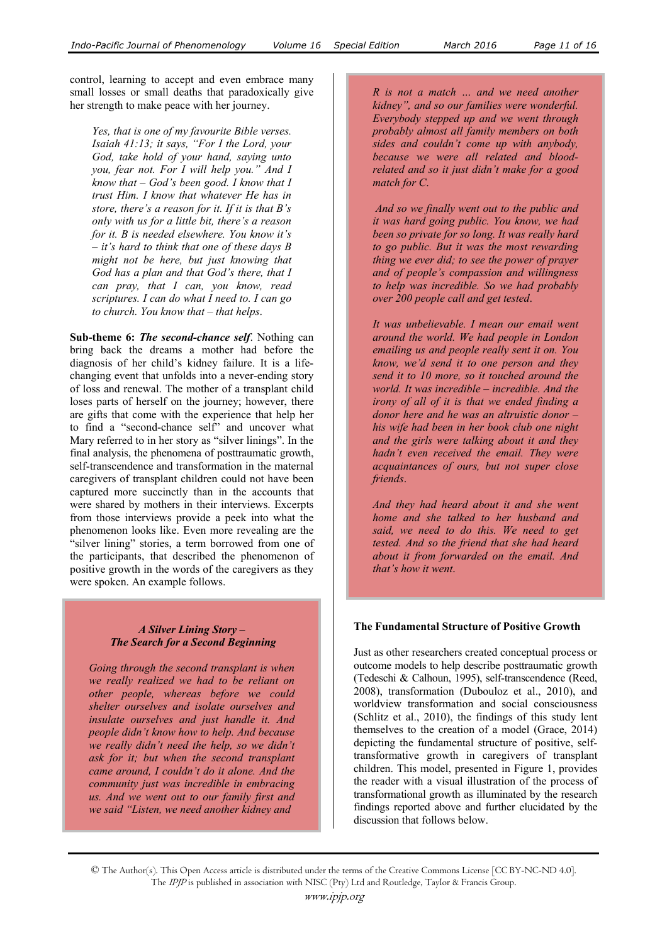control, learning to accept and even embrace many small losses or small deaths that paradoxically give her strength to make peace with her journey.

*Yes, that is one of my favourite Bible verses. Isaiah 41:13; it says, "For I the Lord, your God, take hold of your hand, saying unto you, fear not. For I will help you." And I know that – God's been good. I know that I trust Him. I know that whatever He has in store, there's a reason for it. If it is that B's only with us for a little bit, there's a reason for it. B is needed elsewhere. You know it's – it's hard to think that one of these days B might not be here, but just knowing that God has a plan and that God's there, that I can pray, that I can, you know, read scriptures. I can do what I need to. I can go to church. You know that – that helps*.

**Sub-theme 6:** *The second-chance self*. Nothing can bring back the dreams a mother had before the diagnosis of her child's kidney failure. It is a lifechanging event that unfolds into a never-ending story of loss and renewal. The mother of a transplant child loses parts of herself on the journey; however, there are gifts that come with the experience that help her to find a "second-chance self" and uncover what Mary referred to in her story as "silver linings". In the final analysis, the phenomena of posttraumatic growth, self-transcendence and transformation in the maternal caregivers of transplant children could not have been captured more succinctly than in the accounts that were shared by mothers in their interviews. Excerpts from those interviews provide a peek into what the phenomenon looks like. Even more revealing are the "silver lining" stories, a term borrowed from one of the participants, that described the phenomenon of positive growth in the words of the caregivers as they were spoken. An example follows.

## *A Silver Lining Story – The Search for a Second Beginning*

*Going through the second transplant is when we really realized we had to be reliant on other people, whereas before we could shelter ourselves and isolate ourselves and insulate ourselves and just handle it. And people didn't know how to help. And because we really didn't need the help, so we didn't ask for it; but when the second transplant came around, I couldn't do it alone. And the community just was incredible in embracing us. And we went out to our family first and we said "Listen, we need another kidney and* 

*R is not a match … and we need another kidney", and so our families were wonderful. Everybody stepped up and we went through probably almost all family members on both sides and couldn't come up with anybody, because we were all related and bloodrelated and so it just didn't make for a good match for C*.

*And so we finally went out to the public and it was hard going public. You know, we had been so private for so long. It was really hard to go public. But it was the most rewarding thing we ever did; to see the power of prayer and of people's compassion and willingness to help was incredible. So we had probably over 200 people call and get tested*.

*It was unbelievable. I mean our email went around the world. We had people in London emailing us and people really sent it on. You know, we'd send it to one person and they send it to 10 more, so it touched around the world. It was incredible – incredible. And the irony of all of it is that we ended finding a donor here and he was an altruistic donor – his wife had been in her book club one night and the girls were talking about it and they hadn't even received the email. They were acquaintances of ours, but not super close friends*.

*And they had heard about it and she went home and she talked to her husband and said, we need to do this. We need to get tested. And so the friend that she had heard about it from forwarded on the email. And that's how it went*.

### **The Fundamental Structure of Positive Growth**

Just as other researchers created conceptual process or outcome models to help describe posttraumatic growth (Tedeschi & Calhoun, 1995), self-transcendence (Reed, 2008), transformation (Dubouloz et al., 2010), and worldview transformation and social consciousness (Schlitz et al., 2010), the findings of this study lent themselves to the creation of a model (Grace, 2014) depicting the fundamental structure of positive, selftransformative growth in caregivers of transplant children. This model, presented in Figure 1, provides the reader with a visual illustration of the process of transformational growth as illuminated by the research findings reported above and further elucidated by the discussion that follows below.

© The Author(s). This Open Access article is distributed under the terms of the Creative Commons License [CC BY-NC-ND 4.0]. The IPJP is published in association with NISC (Pty) Ltd and Routledge, Taylor & Francis Group.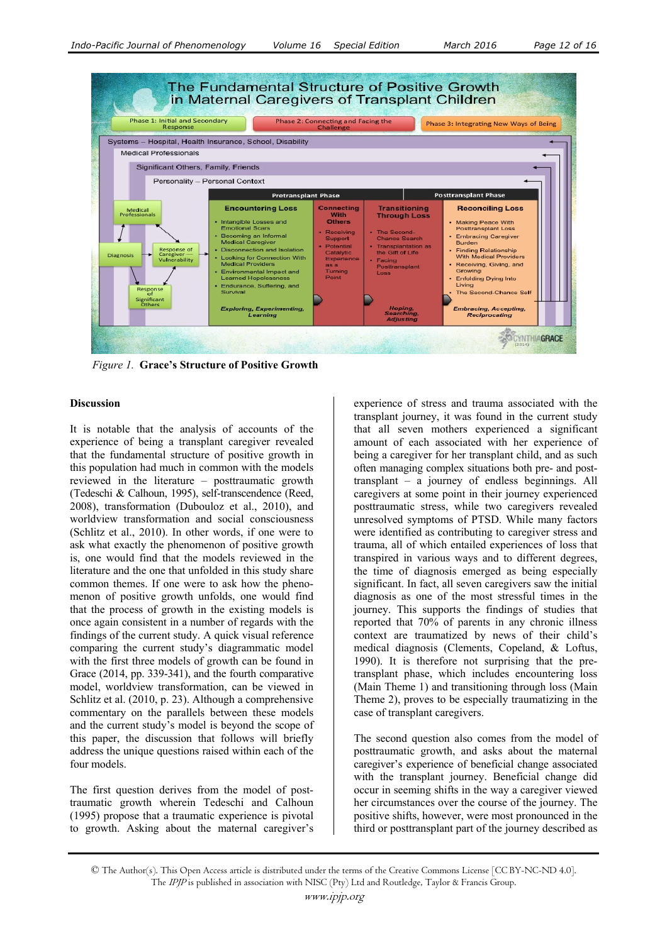

 *Figure 1.* **Grace's Structure of Positive Growth**

### **Discussion**

It is notable that the analysis of accounts of the experience of being a transplant caregiver revealed that the fundamental structure of positive growth in this population had much in common with the models reviewed in the literature – posttraumatic growth (Tedeschi & Calhoun, 1995), self-transcendence (Reed, 2008), transformation (Dubouloz et al., 2010), and worldview transformation and social consciousness (Schlitz et al., 2010). In other words, if one were to ask what exactly the phenomenon of positive growth is, one would find that the models reviewed in the literature and the one that unfolded in this study share common themes. If one were to ask how the phenomenon of positive growth unfolds, one would find that the process of growth in the existing models is once again consistent in a number of regards with the findings of the current study. A quick visual reference comparing the current study's diagrammatic model with the first three models of growth can be found in Grace (2014, pp. 339-341), and the fourth comparative model, worldview transformation, can be viewed in Schlitz et al. (2010, p. 23). Although a comprehensive commentary on the parallels between these models and the current study's model is beyond the scope of this paper, the discussion that follows will briefly address the unique questions raised within each of the four models.

The first question derives from the model of posttraumatic growth wherein Tedeschi and Calhoun (1995) propose that a traumatic experience is pivotal to growth. Asking about the maternal caregiver's experience of stress and trauma associated with the transplant journey, it was found in the current study that all seven mothers experienced a significant amount of each associated with her experience of being a caregiver for her transplant child, and as such often managing complex situations both pre- and posttransplant – a journey of endless beginnings. All caregivers at some point in their journey experienced posttraumatic stress, while two caregivers revealed unresolved symptoms of PTSD. While many factors were identified as contributing to caregiver stress and trauma, all of which entailed experiences of loss that transpired in various ways and to different degrees, the time of diagnosis emerged as being especially significant. In fact, all seven caregivers saw the initial diagnosis as one of the most stressful times in the journey. This supports the findings of studies that reported that 70% of parents in any chronic illness context are traumatized by news of their child's medical diagnosis (Clements, Copeland, & Loftus, 1990). It is therefore not surprising that the pretransplant phase, which includes encountering loss (Main Theme 1) and transitioning through loss (Main Theme 2), proves to be especially traumatizing in the case of transplant caregivers.

The second question also comes from the model of posttraumatic growth, and asks about the maternal caregiver's experience of beneficial change associated with the transplant journey. Beneficial change did occur in seeming shifts in the way a caregiver viewed her circumstances over the course of the journey. The positive shifts, however, were most pronounced in the third or posttransplant part of the journey described as

<sup>©</sup> The Author(s). This Open Access article is distributed under the terms of the Creative Commons License [CC BY-NC-ND 4.0]. The IPJP is published in association with NISC (Pty) Ltd and Routledge, Taylor & Francis Group.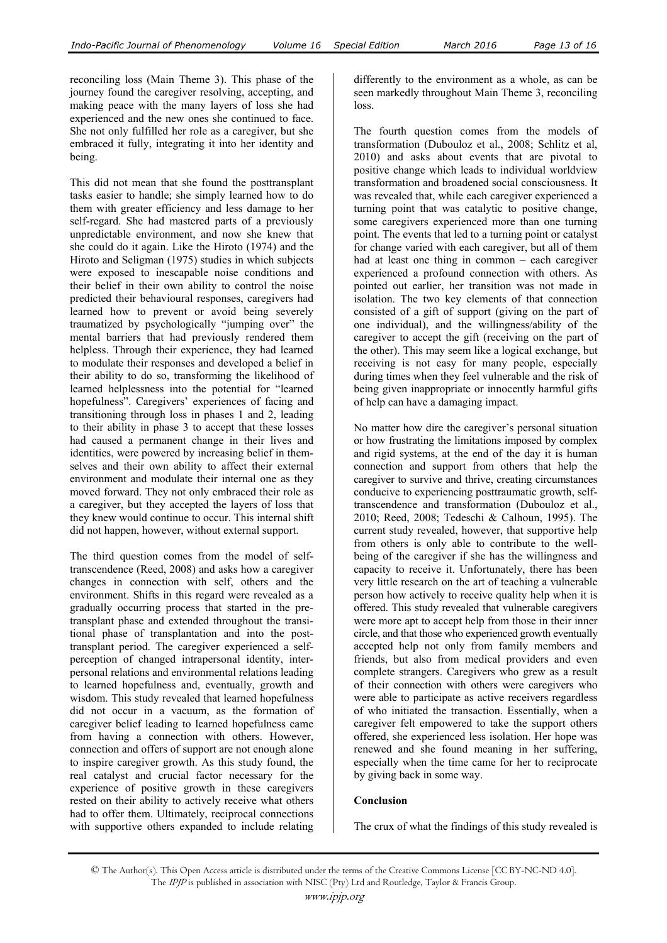reconciling loss (Main Theme 3). This phase of the journey found the caregiver resolving, accepting, and making peace with the many layers of loss she had experienced and the new ones she continued to face. She not only fulfilled her role as a caregiver, but she embraced it fully, integrating it into her identity and being.

This did not mean that she found the posttransplant tasks easier to handle; she simply learned how to do them with greater efficiency and less damage to her self-regard. She had mastered parts of a previously unpredictable environment, and now she knew that she could do it again. Like the Hiroto (1974) and the Hiroto and Seligman (1975) studies in which subjects were exposed to inescapable noise conditions and their belief in their own ability to control the noise predicted their behavioural responses, caregivers had learned how to prevent or avoid being severely traumatized by psychologically "jumping over" the mental barriers that had previously rendered them helpless. Through their experience, they had learned to modulate their responses and developed a belief in their ability to do so, transforming the likelihood of learned helplessness into the potential for "learned hopefulness". Caregivers' experiences of facing and transitioning through loss in phases 1 and 2, leading to their ability in phase 3 to accept that these losses had caused a permanent change in their lives and identities, were powered by increasing belief in themselves and their own ability to affect their external environment and modulate their internal one as they moved forward. They not only embraced their role as a caregiver, but they accepted the layers of loss that they knew would continue to occur. This internal shift did not happen, however, without external support.

The third question comes from the model of selftranscendence (Reed, 2008) and asks how a caregiver changes in connection with self, others and the environment. Shifts in this regard were revealed as a gradually occurring process that started in the pretransplant phase and extended throughout the transitional phase of transplantation and into the posttransplant period. The caregiver experienced a selfperception of changed intrapersonal identity, interpersonal relations and environmental relations leading to learned hopefulness and, eventually, growth and wisdom. This study revealed that learned hopefulness did not occur in a vacuum, as the formation of caregiver belief leading to learned hopefulness came from having a connection with others. However, connection and offers of support are not enough alone to inspire caregiver growth. As this study found, the real catalyst and crucial factor necessary for the experience of positive growth in these caregivers rested on their ability to actively receive what others had to offer them. Ultimately, reciprocal connections with supportive others expanded to include relating differently to the environment as a whole, as can be seen markedly throughout Main Theme 3, reconciling loss.

The fourth question comes from the models of transformation (Dubouloz et al., 2008; Schlitz et al, 2010) and asks about events that are pivotal to positive change which leads to individual worldview transformation and broadened social consciousness. It was revealed that, while each caregiver experienced a turning point that was catalytic to positive change, some caregivers experienced more than one turning point. The events that led to a turning point or catalyst for change varied with each caregiver, but all of them had at least one thing in common – each caregiver experienced a profound connection with others. As pointed out earlier, her transition was not made in isolation. The two key elements of that connection consisted of a gift of support (giving on the part of one individual), and the willingness/ability of the caregiver to accept the gift (receiving on the part of the other). This may seem like a logical exchange, but receiving is not easy for many people, especially during times when they feel vulnerable and the risk of being given inappropriate or innocently harmful gifts of help can have a damaging impact.

No matter how dire the caregiver's personal situation or how frustrating the limitations imposed by complex and rigid systems, at the end of the day it is human connection and support from others that help the caregiver to survive and thrive, creating circumstances conducive to experiencing posttraumatic growth, selftranscendence and transformation (Dubouloz et al., 2010; Reed, 2008; Tedeschi & Calhoun, 1995). The current study revealed, however, that supportive help from others is only able to contribute to the wellbeing of the caregiver if she has the willingness and capacity to receive it. Unfortunately, there has been very little research on the art of teaching a vulnerable person how actively to receive quality help when it is offered. This study revealed that vulnerable caregivers were more apt to accept help from those in their inner circle, and that those who experienced growth eventually accepted help not only from family members and friends, but also from medical providers and even complete strangers. Caregivers who grew as a result of their connection with others were caregivers who were able to participate as active receivers regardless of who initiated the transaction. Essentially, when a caregiver felt empowered to take the support others offered, she experienced less isolation. Her hope was renewed and she found meaning in her suffering, especially when the time came for her to reciprocate by giving back in some way.

# **Conclusion**

The crux of what the findings of this study revealed is

© The Author(s). This Open Access article is distributed under the terms of the Creative Commons License [CC BY-NC-ND 4.0]. The IPJP is published in association with NISC (Pty) Ltd and Routledge, Taylor & Francis Group.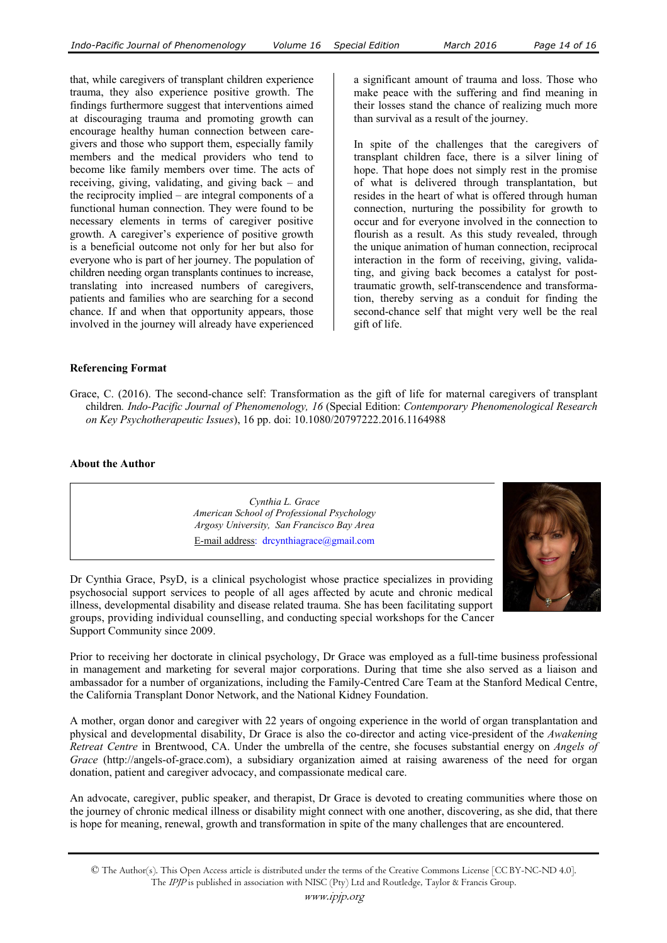that, while caregivers of transplant children experience trauma, they also experience positive growth. The findings furthermore suggest that interventions aimed at discouraging trauma and promoting growth can encourage healthy human connection between caregivers and those who support them, especially family members and the medical providers who tend to become like family members over time. The acts of receiving, giving, validating, and giving back – and the reciprocity implied – are integral components of a functional human connection. They were found to be necessary elements in terms of caregiver positive growth. A caregiver's experience of positive growth is a beneficial outcome not only for her but also for everyone who is part of her journey. The population of children needing organ transplants continues to increase, translating into increased numbers of caregivers, patients and families who are searching for a second chance. If and when that opportunity appears, those involved in the journey will already have experienced

a significant amount of trauma and loss. Those who make peace with the suffering and find meaning in their losses stand the chance of realizing much more than survival as a result of the journey.

In spite of the challenges that the caregivers of transplant children face, there is a silver lining of hope. That hope does not simply rest in the promise of what is delivered through transplantation, but resides in the heart of what is offered through human connection, nurturing the possibility for growth to occur and for everyone involved in the connection to flourish as a result. As this study revealed, through the unique animation of human connection, reciprocal interaction in the form of receiving, giving, validating, and giving back becomes a catalyst for posttraumatic growth, self-transcendence and transformation, thereby serving as a conduit for finding the second-chance self that might very well be the real gift of life.

### **Referencing Format**

Grace, C. (2016). The second-chance self: Transformation as the gift of life for maternal caregivers of transplant children*. Indo-Pacific Journal of Phenomenology, 16* (Special Edition: *Contemporary Phenomenological Research on Key Psychotherapeutic Issues*), 16 pp. doi: 10.1080/20797222.2016.1164988

#### **About the Author**

*Cynthia L. Grace American School of Professional Psychology Argosy University, San Francisco Bay Area*  E-mail address: drcynthiagrace@gmail.com

Dr Cynthia Grace, PsyD, is a clinical psychologist whose practice specializes in providing psychosocial support services to people of all ages affected by acute and chronic medical illness, developmental disability and disease related trauma. She has been facilitating support groups, providing individual counselling, and conducting special workshops for the Cancer Support Community since 2009.

Prior to receiving her doctorate in clinical psychology, Dr Grace was employed as a full-time business professional in management and marketing for several major corporations. During that time she also served as a liaison and ambassador for a number of organizations, including the Family-Centred Care Team at the Stanford Medical Centre, the California Transplant Donor Network, and the National Kidney Foundation.

A mother, organ donor and caregiver with 22 years of ongoing experience in the world of organ transplantation and physical and developmental disability, Dr Grace is also the co-director and acting vice-president of the *Awakening Retreat Centre* in Brentwood, CA. Under the umbrella of the centre, she focuses substantial energy on *Angels of Grace* (http://angels-of-grace.com), a subsidiary organization aimed at raising awareness of the need for organ donation, patient and caregiver advocacy, and compassionate medical care.

An advocate, caregiver, public speaker, and therapist, Dr Grace is devoted to creating communities where those on the journey of chronic medical illness or disability might connect with one another, discovering, as she did, that there is hope for meaning, renewal, growth and transformation in spite of the many challenges that are encountered.



<sup>©</sup> The Author(s). This Open Access article is distributed under the terms of the Creative Commons License [CC BY-NC-ND 4.0]. The IPJP is published in association with NISC (Pty) Ltd and Routledge, Taylor & Francis Group.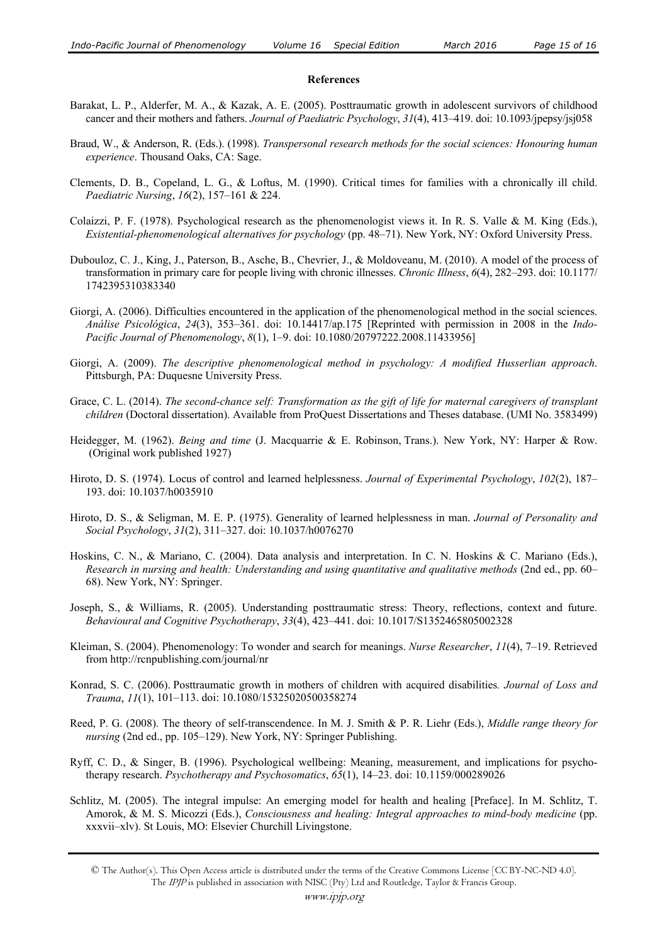#### **References**

- Barakat, L. P., Alderfer, M. A., & Kazak, A. E. (2005). Posttraumatic growth in adolescent survivors of childhood cancer and their mothers and fathers. *Journal of Paediatric Psychology*, *31*(4), 413–419. doi: 10.1093/jpepsy/jsj058
- Braud, W., & Anderson, R. (Eds.). (1998). *Transpersonal research methods for the social sciences: Honouring human experience*. Thousand Oaks, CA: Sage.
- Clements, D. B., Copeland, L. G., & Loftus, M. (1990). Critical times for families with a chronically ill child. *Paediatric Nursing*, *16*(2), 157–161 & 224.
- Colaizzi, P. F. (1978). Psychological research as the phenomenologist views it. In R. S. Valle & M. King (Eds.), *Existential-phenomenological alternatives for psychology* (pp. 48–71). New York, NY: Oxford University Press.
- Dubouloz, C. J., King, J., Paterson, B., Asche, B., Chevrier, J., & Moldoveanu, M. (2010). A model of the process of transformation in primary care for people living with chronic illnesses. *Chronic Illness*, *6*(4), 282–293. doi: 10.1177/ 1742395310383340
- Giorgi, A. (2006). Difficulties encountered in the application of the phenomenological method in the social sciences. *Análise Psicológica*, *24*(3), 353–361. doi: 10.14417/ap.175 [Reprinted with permission in 2008 in the *Indo-Pacific Journal of Phenomenology*, *8*(1), 1–9. doi: 10.1080/20797222.2008.11433956]
- Giorgi, A. (2009). *The descriptive phenomenological method in psychology: A modified Husserlian approach*. Pittsburgh, PA: Duquesne University Press.
- Grace, C. L. (2014). *The second-chance self: Transformation as the gift of life for maternal caregivers of transplant children* (Doctoral dissertation). Available from ProQuest Dissertations and Theses database. (UMI No. 3583499)
- Heidegger, M. (1962). *Being and time* (J. Macquarrie & E. Robinson, Trans.). New York, NY: Harper & Row. (Original work published 1927)
- Hiroto, D. S. (1974). Locus of control and learned helplessness. *Journal of Experimental Psychology*, *102*(2), 187– 193. doi: 10.1037/h0035910
- Hiroto, D. S., & Seligman, M. E. P. (1975). Generality of learned helplessness in man. *Journal of Personality and Social Psychology*, *31*(2), 311–327. doi: 10.1037/h0076270
- Hoskins, C. N., & Mariano, C. (2004). Data analysis and interpretation. In C. N. Hoskins & C. Mariano (Eds.), *Research in nursing and health: Understanding and using quantitative and qualitative methods* (2nd ed., pp. 60– 68). New York, NY: Springer.
- Joseph, S., & Williams, R. (2005). Understanding posttraumatic stress: Theory, reflections, context and future. *Behavioural and Cognitive Psychotherapy*, *33*(4), 423–441. doi: 10.1017/S1352465805002328
- Kleiman, S. (2004). Phenomenology: To wonder and search for meanings. *Nurse Researcher*, *11*(4), 7–19. Retrieved from http://rcnpublishing.com/journal/nr
- Konrad, S. C. (2006). Posttraumatic growth in mothers of children with acquired disabilities*. Journal of Loss and Trauma*, *11*(1), 101–113. doi: 10.1080/15325020500358274
- Reed, P. G. (2008). The theory of self-transcendence. In M. J. Smith & P. R. Liehr (Eds.), *Middle range theory for nursing* (2nd ed., pp. 105–129). New York, NY: Springer Publishing.
- Ryff, C. D., & Singer, B. (1996). Psychological wellbeing: Meaning, measurement, and implications for psychotherapy research. *Psychotherapy and Psychosomatics*, *65*(1), 14–23. doi: 10.1159/000289026
- Schlitz, M. (2005). The integral impulse: An emerging model for health and healing [Preface]. In M. Schlitz, T. Amorok, & M. S. Micozzi (Eds.), *Consciousness and healing: Integral approaches to mind-body medicine* (pp. xxxvii–xlv). St Louis, MO: Elsevier Churchill Livingstone.

<sup>©</sup> The Author(s). This Open Access article is distributed under the terms of the Creative Commons License [CC BY-NC-ND 4.0]. The IPJP is published in association with NISC (Pty) Ltd and Routledge, Taylor & Francis Group.